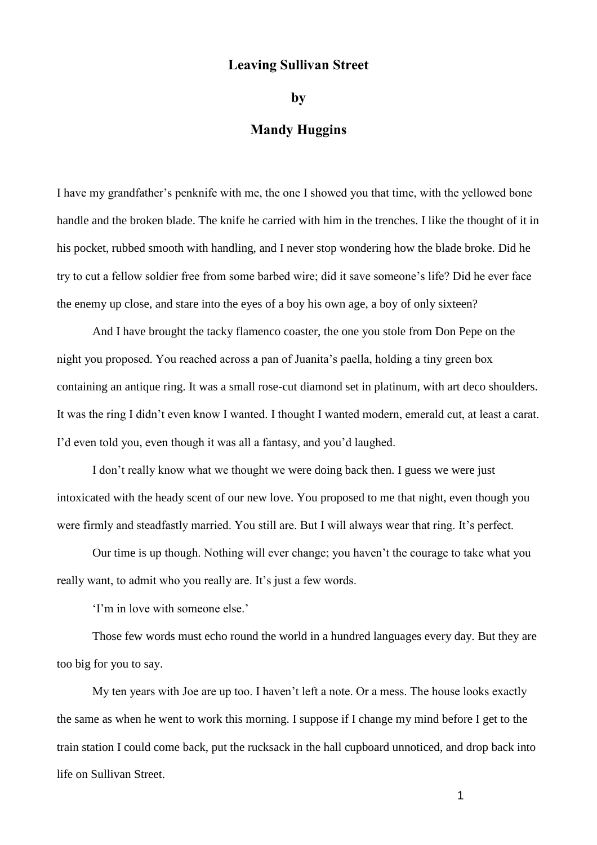## **Leaving Sullivan Street**

**by**

## **Mandy Huggins**

I have my grandfather's penknife with me, the one I showed you that time, with the yellowed bone handle and the broken blade. The knife he carried with him in the trenches. I like the thought of it in his pocket, rubbed smooth with handling, and I never stop wondering how the blade broke. Did he try to cut a fellow soldier free from some barbed wire; did it save someone's life? Did he ever face the enemy up close, and stare into the eyes of a boy his own age, a boy of only sixteen?

And I have brought the tacky flamenco coaster, the one you stole from Don Pepe on the night you proposed. You reached across a pan of Juanita's paella, holding a tiny green box containing an antique ring. It was a small rose-cut diamond set in platinum, with art deco shoulders. It was the ring I didn't even know I wanted. I thought I wanted modern, emerald cut, at least a carat. I'd even told you, even though it was all a fantasy, and you'd laughed.

I don't really know what we thought we were doing back then. I guess we were just intoxicated with the heady scent of our new love. You proposed to me that night, even though you were firmly and steadfastly married. You still are. But I will always wear that ring. It's perfect.

Our time is up though. Nothing will ever change; you haven't the courage to take what you really want, to admit who you really are. It's just a few words.

'I'm in love with someone else.'

Those few words must echo round the world in a hundred languages every day. But they are too big for you to say.

My ten years with Joe are up too. I haven't left a note. Or a mess. The house looks exactly the same as when he went to work this morning. I suppose if I change my mind before I get to the train station I could come back, put the rucksack in the hall cupboard unnoticed, and drop back into life on Sullivan Street.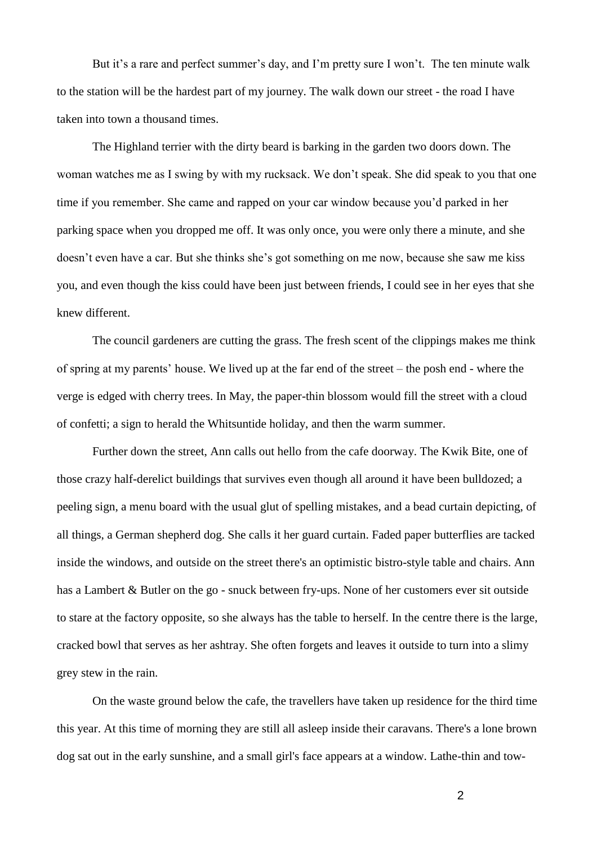But it's a rare and perfect summer's day, and I'm pretty sure I won't. The ten minute walk to the station will be the hardest part of my journey. The walk down our street - the road I have taken into town a thousand times.

The Highland terrier with the dirty beard is barking in the garden two doors down. The woman watches me as I swing by with my rucksack. We don't speak. She did speak to you that one time if you remember. She came and rapped on your car window because you'd parked in her parking space when you dropped me off. It was only once, you were only there a minute, and she doesn't even have a car. But she thinks she's got something on me now, because she saw me kiss you, and even though the kiss could have been just between friends, I could see in her eyes that she knew different.

The council gardeners are cutting the grass. The fresh scent of the clippings makes me think of spring at my parents' house. We lived up at the far end of the street – the posh end - where the verge is edged with cherry trees. In May, the paper-thin blossom would fill the street with a cloud of confetti; a sign to herald the Whitsuntide holiday, and then the warm summer.

Further down the street, Ann calls out hello from the cafe doorway. The Kwik Bite, one of those crazy half-derelict buildings that survives even though all around it have been bulldozed; a peeling sign, a menu board with the usual glut of spelling mistakes, and a bead curtain depicting, of all things, a German shepherd dog. She calls it her guard curtain. Faded paper butterflies are tacked inside the windows, and outside on the street there's an optimistic bistro-style table and chairs. Ann has a Lambert & Butler on the go - snuck between fry-ups. None of her customers ever sit outside to stare at the factory opposite, so she always has the table to herself. In the centre there is the large, cracked bowl that serves as her ashtray. She often forgets and leaves it outside to turn into a slimy grey stew in the rain.

On the waste ground below the cafe, the travellers have taken up residence for the third time this year. At this time of morning they are still all asleep inside their caravans. There's a lone brown dog sat out in the early sunshine, and a small girl's face appears at a window. Lathe-thin and tow-

2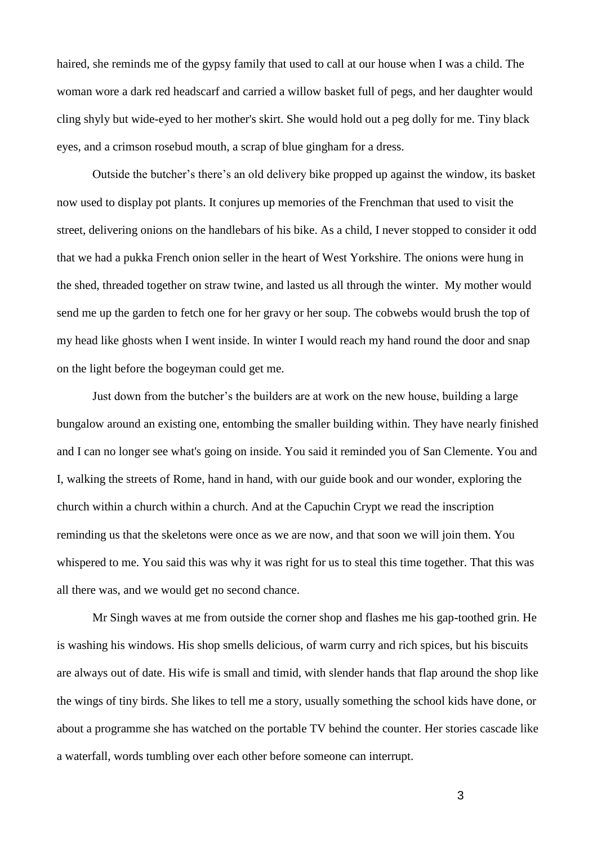haired, she reminds me of the gypsy family that used to call at our house when I was a child. The woman wore a dark red headscarf and carried a willow basket full of pegs, and her daughter would cling shyly but wide-eyed to her mother's skirt. She would hold out a peg dolly for me. Tiny black eyes, and a crimson rosebud mouth, a scrap of blue gingham for a dress.

Outside the butcher's there's an old delivery bike propped up against the window, its basket now used to display pot plants. It conjures up memories of the Frenchman that used to visit the street, delivering onions on the handlebars of his bike. As a child, I never stopped to consider it odd that we had a pukka French onion seller in the heart of West Yorkshire. The onions were hung in the shed, threaded together on straw twine, and lasted us all through the winter. My mother would send me up the garden to fetch one for her gravy or her soup. The cobwebs would brush the top of my head like ghosts when I went inside. In winter I would reach my hand round the door and snap on the light before the bogeyman could get me.

Just down from the butcher's the builders are at work on the new house, building a large bungalow around an existing one, entombing the smaller building within. They have nearly finished and I can no longer see what's going on inside. You said it reminded you of San Clemente. You and I, walking the streets of Rome, hand in hand, with our guide book and our wonder, exploring the church within a church within a church. And at the Capuchin Crypt we read the inscription reminding us that the skeletons were once as we are now, and that soon we will join them. You whispered to me. You said this was why it was right for us to steal this time together. That this was all there was, and we would get no second chance.

Mr Singh waves at me from outside the corner shop and flashes me his gap-toothed grin. He is washing his windows. His shop smells delicious, of warm curry and rich spices, but his biscuits are always out of date. His wife is small and timid, with slender hands that flap around the shop like the wings of tiny birds. She likes to tell me a story, usually something the school kids have done, or about a programme she has watched on the portable TV behind the counter. Her stories cascade like a waterfall, words tumbling over each other before someone can interrupt.

3